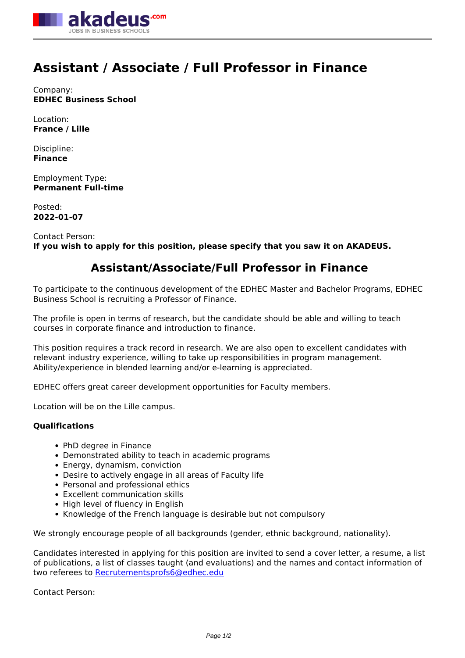

## **Assistant / Associate / Full Professor in Finance**

Company: **EDHEC Business School**

Location: **France / Lille**

Discipline: **Finance**

Employment Type: **Permanent Full-time**

Posted: **2022-01-07**

Contact Person: **If you wish to apply for this position, please specify that you saw it on AKADEUS.**

## **Assistant/Associate/Full Professor in Finance**

To participate to the continuous development of the EDHEC Master and Bachelor Programs, EDHEC Business School is recruiting a Professor of Finance.

The profile is open in terms of research, but the candidate should be able and willing to teach courses in corporate finance and introduction to finance.

This position requires a track record in research. We are also open to excellent candidates with relevant industry experience, willing to take up responsibilities in program management. Ability/experience in blended learning and/or e-learning is appreciated.

EDHEC offers great career development opportunities for Faculty members.

Location will be on the Lille campus.

## **Qualifications**

- PhD degree in Finance
- Demonstrated ability to teach in academic programs
- Energy, dynamism, conviction
- Desire to actively engage in all areas of Faculty life
- Personal and professional ethics
- Excellent communication skills
- High level of fluency in English
- Knowledge of the French language is desirable but not compulsory

We strongly encourage people of all backgrounds (gender, ethnic background, nationality).

Candidates interested in applying for this position are invited to send a cover letter, a resume, a list of publications, a list of classes taught (and evaluations) and the names and contact information of two referees to [Recrutementsprofs6@edhec.edu](mailto:Recrutementsprofs6@edhec.edu)

Contact Person: